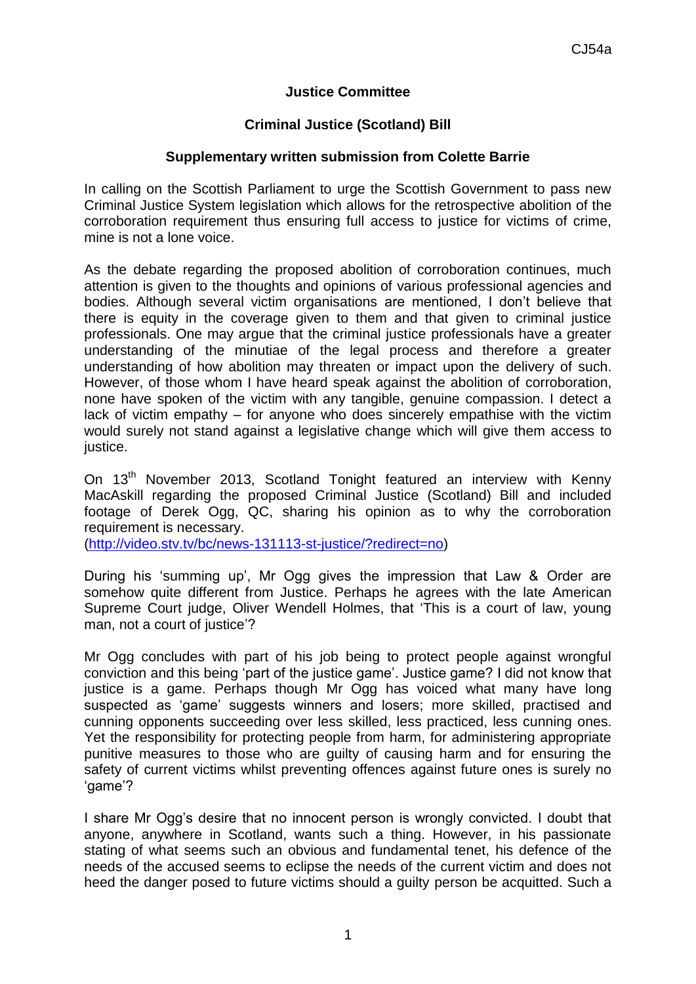# **Justice Committee**

## **Criminal Justice (Scotland) Bill**

### **Supplementary written submission from Colette Barrie**

In calling on the Scottish Parliament to urge the Scottish Government to pass new Criminal Justice System legislation which allows for the retrospective abolition of the corroboration requirement thus ensuring full access to justice for victims of crime, mine is not a lone voice.

As the debate regarding the proposed abolition of corroboration continues, much attention is given to the thoughts and opinions of various professional agencies and bodies. Although several victim organisations are mentioned, I don't believe that there is equity in the coverage given to them and that given to criminal justice professionals. One may argue that the criminal justice professionals have a greater understanding of the minutiae of the legal process and therefore a greater understanding of how abolition may threaten or impact upon the delivery of such. However, of those whom I have heard speak against the abolition of corroboration, none have spoken of the victim with any tangible, genuine compassion. I detect a lack of victim empathy – for anyone who does sincerely empathise with the victim would surely not stand against a legislative change which will give them access to justice.

On 13<sup>th</sup> November 2013, Scotland Tonight featured an interview with Kenny MacAskill regarding the proposed Criminal Justice (Scotland) Bill and included footage of Derek Ogg, QC, sharing his opinion as to why the corroboration requirement is necessary.

[\(http://video.stv.tv/bc/news-131113-st-justice/?redirect=no\)](http://video.stv.tv/bc/news-131113-st-justice/?redirect=no)

During his 'summing up', Mr Ogg gives the impression that Law & Order are somehow quite different from Justice. Perhaps he agrees with the late American Supreme Court judge, Oliver Wendell Holmes, that 'This is a court of law, young man, not a court of justice'?

Mr Ogg concludes with part of his job being to protect people against wrongful conviction and this being 'part of the justice game'. Justice game? I did not know that justice is a game. Perhaps though Mr Ogg has voiced what many have long suspected as 'game' suggests winners and losers; more skilled, practised and cunning opponents succeeding over less skilled, less practiced, less cunning ones. Yet the responsibility for protecting people from harm, for administering appropriate punitive measures to those who are guilty of causing harm and for ensuring the safety of current victims whilst preventing offences against future ones is surely no 'game'?

I share Mr Ogg's desire that no innocent person is wrongly convicted. I doubt that anyone, anywhere in Scotland, wants such a thing. However, in his passionate stating of what seems such an obvious and fundamental tenet, his defence of the needs of the accused seems to eclipse the needs of the current victim and does not heed the danger posed to future victims should a guilty person be acquitted. Such a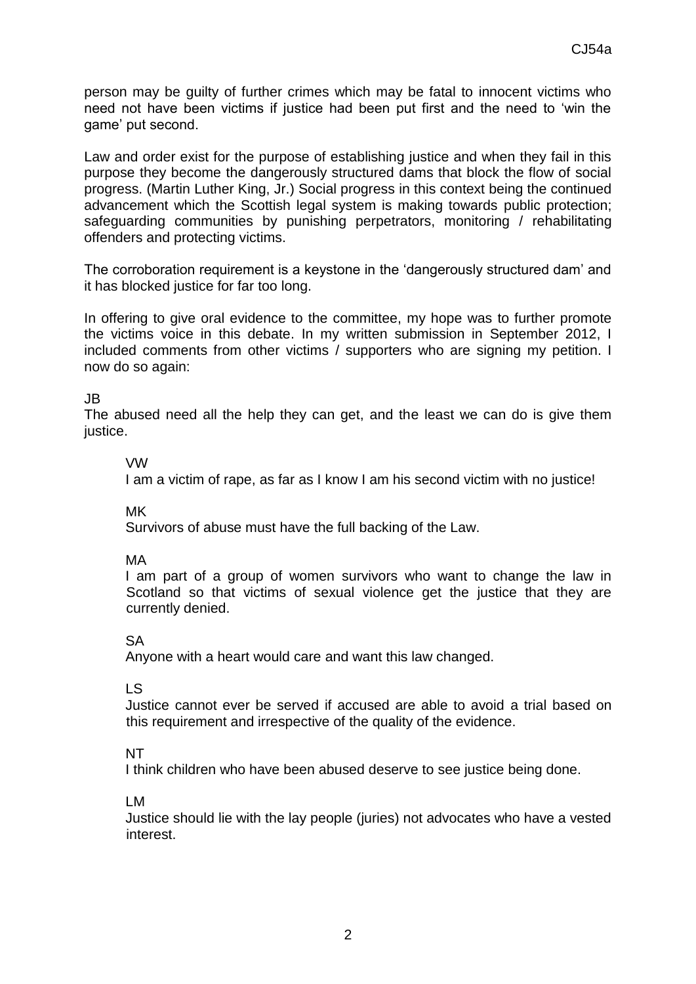person may be [guilty of further crimes which may be fatal to innocent victims who](http://www.brainyquote.com/quotes/quotes/a/agathachri124612.html)  [need not have been victims if justice had been put first and the need to 'win the](http://www.brainyquote.com/quotes/quotes/a/agathachri124612.html)  [game' put second.](http://www.brainyquote.com/quotes/quotes/a/agathachri124612.html)

[Law and order exist for the purpose of establishing justice and when they fail in this](http://www.brainyquote.com/quotes/quotes/m/martinluth297518.html)  [purpose they become the dangerously structured dams that block the flow of social](http://www.brainyquote.com/quotes/quotes/m/martinluth297518.html)  [progress.](http://www.brainyquote.com/quotes/quotes/m/martinluth297518.html) [\(Martin Luther King, Jr.\)](http://www.brainyquote.com/quotes/authors/m/martin_luther_king_jr.html) Social progress in this context being the continued advancement which the Scottish legal system is making towards public protection; safeguarding communities by punishing perpetrators, monitoring / rehabilitating offenders and protecting victims.

The corroboration requirement is a keystone in the 'dangerously structured dam' and it has blocked justice for far too long.

In offering to give oral evidence to the committee, my hope was to further promote the victims voice in this debate. In my written submission in September 2012, I included comments from other victims / supporters who are signing my petition. I now do so again:

### JB

The abused need all the help they can get, and the least we can do is give them justice.

#### VW

I am a victim of rape, as far as I know I am his second victim with no justice!

MK

Survivors of abuse must have the full backing of the Law.

MA

I am part of a group of women survivors who want to change the law in Scotland so that victims of sexual violence get the justice that they are currently denied.

SA

Anyone with a heart would care and want this law changed.

LS

Justice cannot ever be served if accused are able to avoid a trial based on this requirement and irrespective of the quality of the evidence.

NT

I think children who have been abused deserve to see justice being done.

LM

Justice should lie with the lay people (juries) not advocates who have a vested interest.